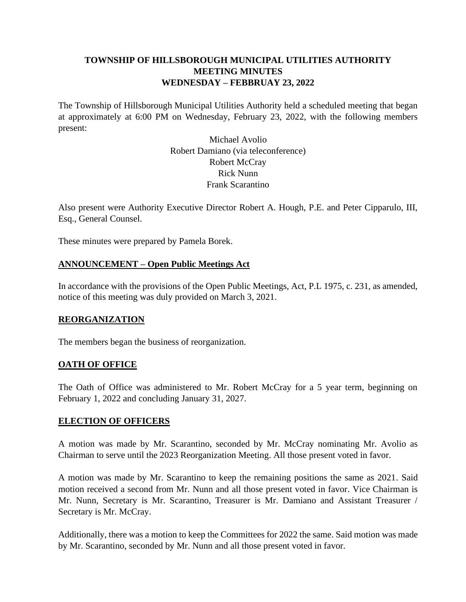# **TOWNSHIP OF HILLSBOROUGH MUNICIPAL UTILITIES AUTHORITY MEETING MINUTES WEDNESDAY – FEBBRUAY 23, 2022**

The Township of Hillsborough Municipal Utilities Authority held a scheduled meeting that began at approximately at 6:00 PM on Wednesday, February 23, 2022, with the following members present:

> Michael Avolio Robert Damiano (via teleconference) Robert McCray Rick Nunn Frank Scarantino

Also present were Authority Executive Director Robert A. Hough, P.E. and Peter Cipparulo, III, Esq., General Counsel.

These minutes were prepared by Pamela Borek.

### **ANNOUNCEMENT – Open Public Meetings Act**

In accordance with the provisions of the Open Public Meetings, Act, P.L 1975, c. 231, as amended, notice of this meeting was duly provided on March 3, 2021.

#### **REORGANIZATION**

The members began the business of reorganization.

#### **OATH OF OFFICE**

The Oath of Office was administered to Mr. Robert McCray for a 5 year term, beginning on February 1, 2022 and concluding January 31, 2027.

#### **ELECTION OF OFFICERS**

A motion was made by Mr. Scarantino, seconded by Mr. McCray nominating Mr. Avolio as Chairman to serve until the 2023 Reorganization Meeting. All those present voted in favor.

A motion was made by Mr. Scarantino to keep the remaining positions the same as 2021. Said motion received a second from Mr. Nunn and all those present voted in favor. Vice Chairman is Mr. Nunn, Secretary is Mr. Scarantino, Treasurer is Mr. Damiano and Assistant Treasurer / Secretary is Mr. McCray.

Additionally, there was a motion to keep the Committees for 2022 the same. Said motion was made by Mr. Scarantino, seconded by Mr. Nunn and all those present voted in favor.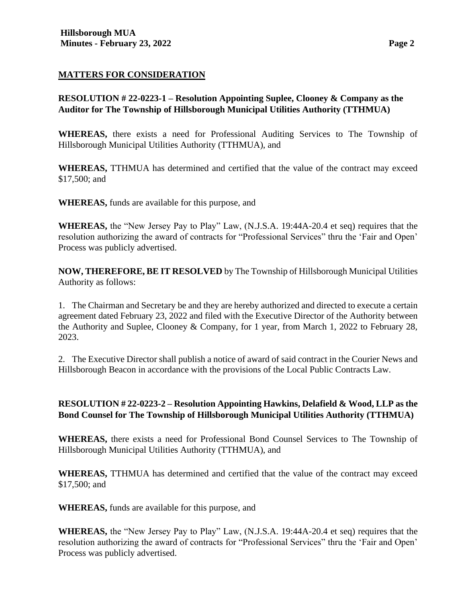## **MATTERS FOR CONSIDERATION**

**RESOLUTION # 22-0223-1 – Resolution Appointing Suplee, Clooney & Company as the Auditor for The Township of Hillsborough Municipal Utilities Authority (TTHMUA)**

**WHEREAS,** there exists a need for Professional Auditing Services to The Township of Hillsborough Municipal Utilities Authority (TTHMUA), and

**WHEREAS,** TTHMUA has determined and certified that the value of the contract may exceed \$17,500; and

**WHEREAS,** funds are available for this purpose, and

**WHEREAS,** the "New Jersey Pay to Play" Law, (N.J.S.A. 19:44A-20.4 et seq) requires that the resolution authorizing the award of contracts for "Professional Services" thru the 'Fair and Open' Process was publicly advertised.

**NOW, THEREFORE, BE IT RESOLVED** by The Township of Hillsborough Municipal Utilities Authority as follows:

1. The Chairman and Secretary be and they are hereby authorized and directed to execute a certain agreement dated February 23, 2022 and filed with the Executive Director of the Authority between the Authority and Suplee, Clooney & Company, for 1 year, from March 1, 2022 to February 28, 2023.

2. The Executive Director shall publish a notice of award of said contract in the Courier News and Hillsborough Beacon in accordance with the provisions of the Local Public Contracts Law.

# **RESOLUTION # 22-0223-2 – Resolution Appointing Hawkins, Delafield & Wood, LLP as the Bond Counsel for The Township of Hillsborough Municipal Utilities Authority (TTHMUA)**

**WHEREAS,** there exists a need for Professional Bond Counsel Services to The Township of Hillsborough Municipal Utilities Authority (TTHMUA), and

**WHEREAS,** TTHMUA has determined and certified that the value of the contract may exceed \$17,500; and

**WHEREAS,** funds are available for this purpose, and

**WHEREAS,** the "New Jersey Pay to Play" Law, (N.J.S.A. 19:44A-20.4 et seq) requires that the resolution authorizing the award of contracts for "Professional Services" thru the 'Fair and Open' Process was publicly advertised.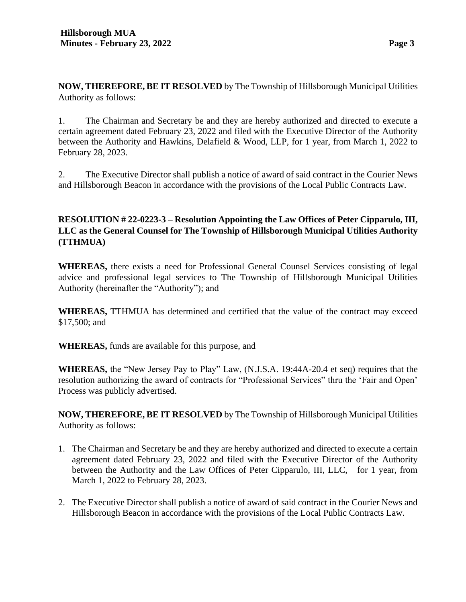**NOW, THEREFORE, BE IT RESOLVED** by The Township of Hillsborough Municipal Utilities Authority as follows:

1. The Chairman and Secretary be and they are hereby authorized and directed to execute a certain agreement dated February 23, 2022 and filed with the Executive Director of the Authority between the Authority and Hawkins, Delafield & Wood, LLP, for 1 year, from March 1, 2022 to February 28, 2023.

2. The Executive Director shall publish a notice of award of said contract in the Courier News and Hillsborough Beacon in accordance with the provisions of the Local Public Contracts Law.

# **RESOLUTION # 22-0223-3 – Resolution Appointing the Law Offices of Peter Cipparulo, III, LLC as the General Counsel for The Township of Hillsborough Municipal Utilities Authority (TTHMUA)**

**WHEREAS,** there exists a need for Professional General Counsel Services consisting of legal advice and professional legal services to The Township of Hillsborough Municipal Utilities Authority (hereinafter the "Authority"); and

**WHEREAS,** TTHMUA has determined and certified that the value of the contract may exceed \$17,500; and

**WHEREAS,** funds are available for this purpose, and

**WHEREAS,** the "New Jersey Pay to Play" Law, (N.J.S.A. 19:44A-20.4 et seq) requires that the resolution authorizing the award of contracts for "Professional Services" thru the 'Fair and Open' Process was publicly advertised.

**NOW, THEREFORE, BE IT RESOLVED** by The Township of Hillsborough Municipal Utilities Authority as follows:

- 1. The Chairman and Secretary be and they are hereby authorized and directed to execute a certain agreement dated February 23, 2022 and filed with the Executive Director of the Authority between the Authority and the Law Offices of Peter Cipparulo, III, LLC, for 1 year, from March 1, 2022 to February 28, 2023.
- 2. The Executive Director shall publish a notice of award of said contract in the Courier News and Hillsborough Beacon in accordance with the provisions of the Local Public Contracts Law.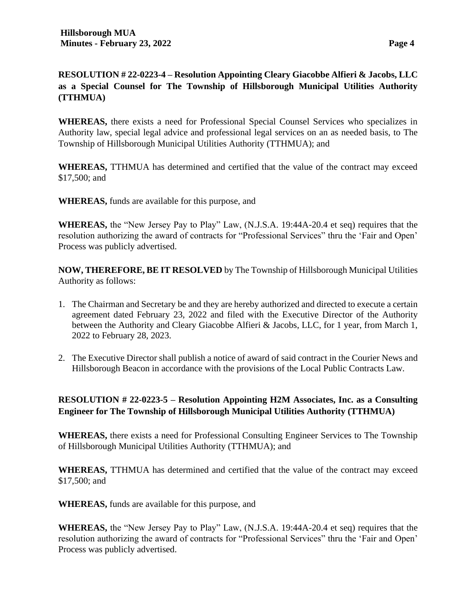# **RESOLUTION # 22-0223-4 – Resolution Appointing Cleary Giacobbe Alfieri & Jacobs, LLC as a Special Counsel for The Township of Hillsborough Municipal Utilities Authority (TTHMUA)**

**WHEREAS,** there exists a need for Professional Special Counsel Services who specializes in Authority law, special legal advice and professional legal services on an as needed basis, to The Township of Hillsborough Municipal Utilities Authority (TTHMUA); and

**WHEREAS,** TTHMUA has determined and certified that the value of the contract may exceed \$17,500; and

**WHEREAS,** funds are available for this purpose, and

**WHEREAS,** the "New Jersey Pay to Play" Law, (N.J.S.A. 19:44A-20.4 et seq) requires that the resolution authorizing the award of contracts for "Professional Services" thru the 'Fair and Open' Process was publicly advertised.

**NOW, THEREFORE, BE IT RESOLVED** by The Township of Hillsborough Municipal Utilities Authority as follows:

- 1. The Chairman and Secretary be and they are hereby authorized and directed to execute a certain agreement dated February 23, 2022 and filed with the Executive Director of the Authority between the Authority and Cleary Giacobbe Alfieri & Jacobs, LLC, for 1 year, from March 1, 2022 to February 28, 2023.
- 2. The Executive Director shall publish a notice of award of said contract in the Courier News and Hillsborough Beacon in accordance with the provisions of the Local Public Contracts Law.

# **RESOLUTION # 22-0223-5 – Resolution Appointing H2M Associates, Inc. as a Consulting Engineer for The Township of Hillsborough Municipal Utilities Authority (TTHMUA)**

**WHEREAS,** there exists a need for Professional Consulting Engineer Services to The Township of Hillsborough Municipal Utilities Authority (TTHMUA); and

**WHEREAS,** TTHMUA has determined and certified that the value of the contract may exceed \$17,500; and

**WHEREAS,** funds are available for this purpose, and

**WHEREAS,** the "New Jersey Pay to Play" Law, (N.J.S.A. 19:44A-20.4 et seq) requires that the resolution authorizing the award of contracts for "Professional Services" thru the 'Fair and Open' Process was publicly advertised.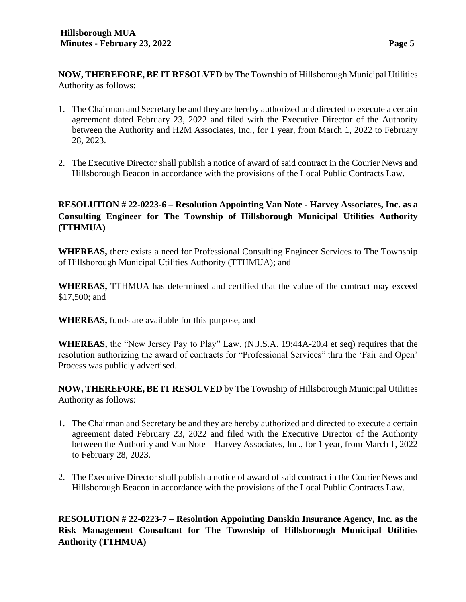**NOW, THEREFORE, BE IT RESOLVED** by The Township of Hillsborough Municipal Utilities Authority as follows:

- 1. The Chairman and Secretary be and they are hereby authorized and directed to execute a certain agreement dated February 23, 2022 and filed with the Executive Director of the Authority between the Authority and H2M Associates, Inc., for 1 year, from March 1, 2022 to February 28, 2023.
- 2. The Executive Director shall publish a notice of award of said contract in the Courier News and Hillsborough Beacon in accordance with the provisions of the Local Public Contracts Law.

# **RESOLUTION # 22-0223-6 – Resolution Appointing Van Note - Harvey Associates, Inc. as a Consulting Engineer for The Township of Hillsborough Municipal Utilities Authority (TTHMUA)**

**WHEREAS,** there exists a need for Professional Consulting Engineer Services to The Township of Hillsborough Municipal Utilities Authority (TTHMUA); and

**WHEREAS,** TTHMUA has determined and certified that the value of the contract may exceed \$17,500; and

**WHEREAS,** funds are available for this purpose, and

**WHEREAS,** the "New Jersey Pay to Play" Law, (N.J.S.A. 19:44A-20.4 et seq) requires that the resolution authorizing the award of contracts for "Professional Services" thru the 'Fair and Open' Process was publicly advertised.

**NOW, THEREFORE, BE IT RESOLVED** by The Township of Hillsborough Municipal Utilities Authority as follows:

- 1. The Chairman and Secretary be and they are hereby authorized and directed to execute a certain agreement dated February 23, 2022 and filed with the Executive Director of the Authority between the Authority and Van Note – Harvey Associates, Inc., for 1 year, from March 1, 2022 to February 28, 2023.
- 2. The Executive Director shall publish a notice of award of said contract in the Courier News and Hillsborough Beacon in accordance with the provisions of the Local Public Contracts Law.

**RESOLUTION # 22-0223-7 – Resolution Appointing Danskin Insurance Agency, Inc. as the Risk Management Consultant for The Township of Hillsborough Municipal Utilities Authority (TTHMUA)**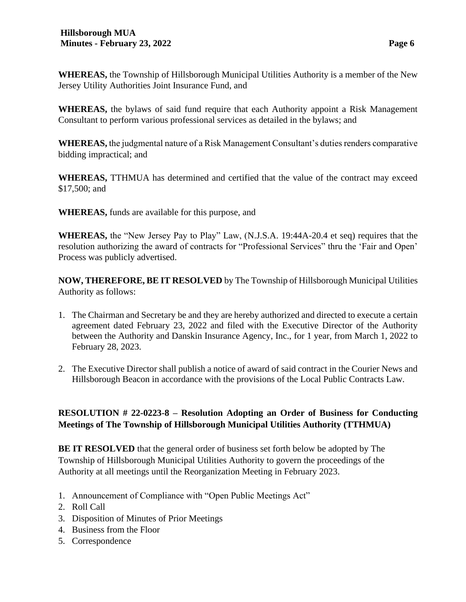**WHEREAS,** the Township of Hillsborough Municipal Utilities Authority is a member of the New Jersey Utility Authorities Joint Insurance Fund, and

**WHEREAS,** the bylaws of said fund require that each Authority appoint a Risk Management Consultant to perform various professional services as detailed in the bylaws; and

**WHEREAS,** the judgmental nature of a Risk Management Consultant's duties renders comparative bidding impractical; and

**WHEREAS,** TTHMUA has determined and certified that the value of the contract may exceed \$17,500; and

**WHEREAS,** funds are available for this purpose, and

**WHEREAS,** the "New Jersey Pay to Play" Law, (N.J.S.A. 19:44A-20.4 et seq) requires that the resolution authorizing the award of contracts for "Professional Services" thru the 'Fair and Open' Process was publicly advertised.

**NOW, THEREFORE, BE IT RESOLVED** by The Township of Hillsborough Municipal Utilities Authority as follows:

- 1. The Chairman and Secretary be and they are hereby authorized and directed to execute a certain agreement dated February 23, 2022 and filed with the Executive Director of the Authority between the Authority and Danskin Insurance Agency, Inc., for 1 year, from March 1, 2022 to February 28, 2023.
- 2. The Executive Director shall publish a notice of award of said contract in the Courier News and Hillsborough Beacon in accordance with the provisions of the Local Public Contracts Law.

# **RESOLUTION # 22-0223-8 – Resolution Adopting an Order of Business for Conducting Meetings of The Township of Hillsborough Municipal Utilities Authority (TTHMUA)**

**BE IT RESOLVED** that the general order of business set forth below be adopted by The Township of Hillsborough Municipal Utilities Authority to govern the proceedings of the Authority at all meetings until the Reorganization Meeting in February 2023.

- 1. Announcement of Compliance with "Open Public Meetings Act"
- 2. Roll Call
- 3. Disposition of Minutes of Prior Meetings
- 4. Business from the Floor
- 5. Correspondence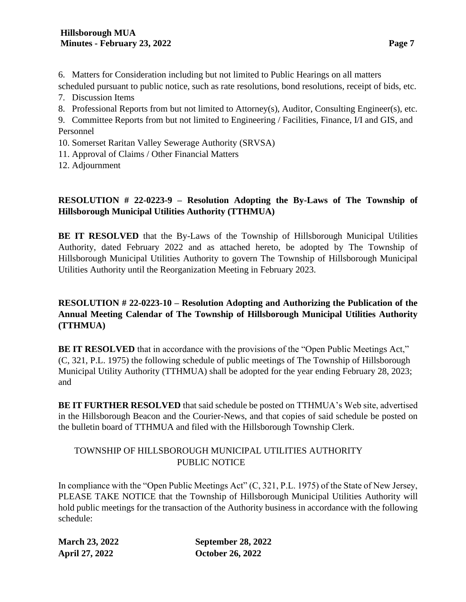6. Matters for Consideration including but not limited to Public Hearings on all matters scheduled pursuant to public notice, such as rate resolutions, bond resolutions, receipt of bids, etc.

- 7. Discussion Items
- 8. Professional Reports from but not limited to Attorney(s), Auditor, Consulting Engineer(s), etc.

9. Committee Reports from but not limited to Engineering / Facilities, Finance, I/I and GIS, and Personnel

- 10. Somerset Raritan Valley Sewerage Authority (SRVSA)
- 11. Approval of Claims / Other Financial Matters

12. Adjournment

# **RESOLUTION # 22-0223-9 – Resolution Adopting the By-Laws of The Township of Hillsborough Municipal Utilities Authority (TTHMUA)**

**BE IT RESOLVED** that the By-Laws of the Township of Hillsborough Municipal Utilities Authority, dated February 2022 and as attached hereto, be adopted by The Township of Hillsborough Municipal Utilities Authority to govern The Township of Hillsborough Municipal Utilities Authority until the Reorganization Meeting in February 2023.

# **RESOLUTION # 22-0223-10 – Resolution Adopting and Authorizing the Publication of the Annual Meeting Calendar of The Township of Hillsborough Municipal Utilities Authority (TTHMUA)**

**BE IT RESOLVED** that in accordance with the provisions of the "Open Public Meetings Act," (C, 321, P.L. 1975) the following schedule of public meetings of The Township of Hillsborough Municipal Utility Authority (TTHMUA) shall be adopted for the year ending February 28, 2023; and

**BE IT FURTHER RESOLVED** that said schedule be posted on TTHMUA's Web site, advertised in the Hillsborough Beacon and the Courier-News, and that copies of said schedule be posted on the bulletin board of TTHMUA and filed with the Hillsborough Township Clerk.

# TOWNSHIP OF HILLSBOROUGH MUNICIPAL UTILITIES AUTHORITY PUBLIC NOTICE

In compliance with the "Open Public Meetings Act" (C, 321, P.L. 1975) of the State of New Jersey, PLEASE TAKE NOTICE that the Township of Hillsborough Municipal Utilities Authority will hold public meetings for the transaction of the Authority business in accordance with the following schedule:

**March 23, 2022 September 28, 2022 April 27, 2022 October 26, 2022**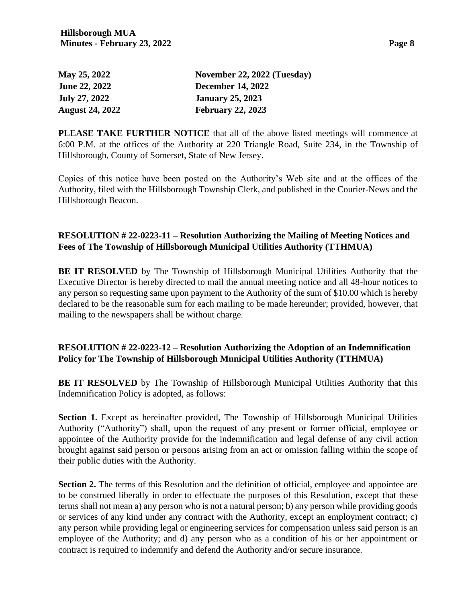| י רצפ<br>. |  |
|------------|--|
|------------|--|

| <b>May 25, 2022</b>  | November 22, 2022 (Tuesday) |
|----------------------|-----------------------------|
| <b>June 22, 2022</b> | <b>December 14, 2022</b>    |
| July 27, 2022        | <b>January 25, 2023</b>     |
| August 24, 2022      | <b>February 22, 2023</b>    |

**PLEASE TAKE FURTHER NOTICE** that all of the above listed meetings will commence at 6:00 P.M. at the offices of the Authority at 220 Triangle Road, Suite 234, in the Township of Hillsborough, County of Somerset, State of New Jersey.

Copies of this notice have been posted on the Authority's Web site and at the offices of the Authority, filed with the Hillsborough Township Clerk, and published in the Courier-News and the Hillsborough Beacon.

### **RESOLUTION # 22-0223-11 – Resolution Authorizing the Mailing of Meeting Notices and Fees of The Township of Hillsborough Municipal Utilities Authority (TTHMUA)**

**BE IT RESOLVED** by The Township of Hillsborough Municipal Utilities Authority that the Executive Director is hereby directed to mail the annual meeting notice and all 48-hour notices to any person so requesting same upon payment to the Authority of the sum of \$10.00 which is hereby declared to be the reasonable sum for each mailing to be made hereunder; provided, however, that mailing to the newspapers shall be without charge.

### **RESOLUTION # 22-0223-12 – Resolution Authorizing the Adoption of an Indemnification Policy for The Township of Hillsborough Municipal Utilities Authority (TTHMUA)**

**BE IT RESOLVED** by The Township of Hillsborough Municipal Utilities Authority that this Indemnification Policy is adopted, as follows:

Section 1. Except as hereinafter provided, The Township of Hillsborough Municipal Utilities Authority ("Authority") shall, upon the request of any present or former official, employee or appointee of the Authority provide for the indemnification and legal defense of any civil action brought against said person or persons arising from an act or omission falling within the scope of their public duties with the Authority.

**Section 2.** The terms of this Resolution and the definition of official, employee and appointee are to be construed liberally in order to effectuate the purposes of this Resolution, except that these terms shall not mean a) any person who is not a natural person; b) any person while providing goods or services of any kind under any contract with the Authority, except an employment contract; c) any person while providing legal or engineering services for compensation unless said person is an employee of the Authority; and d) any person who as a condition of his or her appointment or contract is required to indemnify and defend the Authority and/or secure insurance.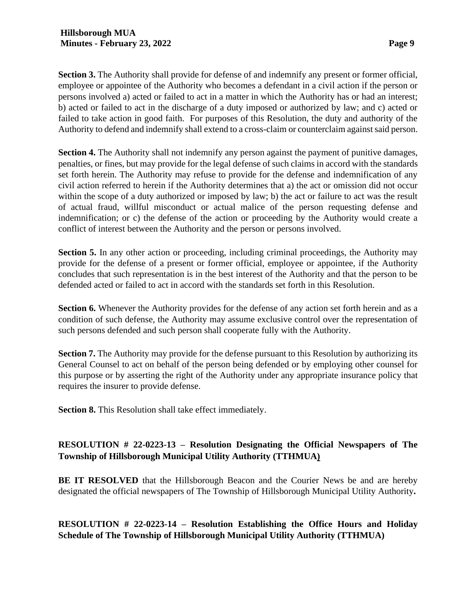**Section 3.** The Authority shall provide for defense of and indemnify any present or former official, employee or appointee of the Authority who becomes a defendant in a civil action if the person or persons involved a) acted or failed to act in a matter in which the Authority has or had an interest; b) acted or failed to act in the discharge of a duty imposed or authorized by law; and c) acted or failed to take action in good faith. For purposes of this Resolution, the duty and authority of the Authority to defend and indemnify shall extend to a cross-claim or counterclaim against said person.

**Section 4.** The Authority shall not indemnify any person against the payment of punitive damages, penalties, or fines, but may provide for the legal defense of such claims in accord with the standards set forth herein. The Authority may refuse to provide for the defense and indemnification of any civil action referred to herein if the Authority determines that a) the act or omission did not occur within the scope of a duty authorized or imposed by law; b) the act or failure to act was the result of actual fraud, willful misconduct or actual malice of the person requesting defense and indemnification; or c) the defense of the action or proceeding by the Authority would create a conflict of interest between the Authority and the person or persons involved.

**Section 5.** In any other action or proceeding, including criminal proceedings, the Authority may provide for the defense of a present or former official, employee or appointee, if the Authority concludes that such representation is in the best interest of the Authority and that the person to be defended acted or failed to act in accord with the standards set forth in this Resolution.

**Section 6.** Whenever the Authority provides for the defense of any action set forth herein and as a condition of such defense, the Authority may assume exclusive control over the representation of such persons defended and such person shall cooperate fully with the Authority.

**Section 7.** The Authority may provide for the defense pursuant to this Resolution by authorizing its General Counsel to act on behalf of the person being defended or by employing other counsel for this purpose or by asserting the right of the Authority under any appropriate insurance policy that requires the insurer to provide defense.

**Section 8.** This Resolution shall take effect immediately.

# **RESOLUTION # 22-0223-13 – Resolution Designating the Official Newspapers of The Township of Hillsborough Municipal Utility Authority (TTHMUA)**

**BE IT RESOLVED** that the Hillsborough Beacon and the Courier News be and are hereby designated the official newspapers of The Township of Hillsborough Municipal Utility Authority**.**

**RESOLUTION # 22-0223-14 – Resolution Establishing the Office Hours and Holiday Schedule of The Township of Hillsborough Municipal Utility Authority (TTHMUA)**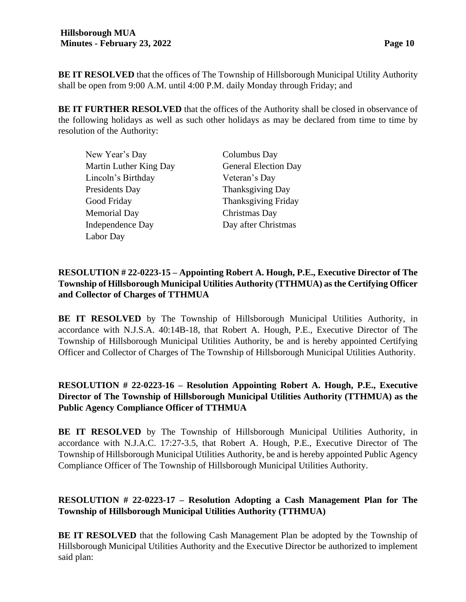**BE IT RESOLVED** that the offices of The Township of Hillsborough Municipal Utility Authority shall be open from 9:00 A.M. until 4:00 P.M. daily Monday through Friday; and

**BE IT FURTHER RESOLVED** that the offices of the Authority shall be closed in observance of the following holidays as well as such other holidays as may be declared from time to time by resolution of the Authority:

| New Year's Day         | Columbus Day                |
|------------------------|-----------------------------|
| Martin Luther King Day | <b>General Election Day</b> |
| Lincoln's Birthday     | Veteran's Day               |
| Presidents Day         | Thanksgiving Day            |
| Good Friday            | <b>Thanksgiving Friday</b>  |
| <b>Memorial Day</b>    | Christmas Day               |
| Independence Day       | Day after Christmas         |
| Labor Day              |                             |

# **RESOLUTION # 22-0223-15 – Appointing Robert A. Hough, P.E., Executive Director of The Township of Hillsborough Municipal Utilities Authority (TTHMUA) as the Certifying Officer and Collector of Charges of TTHMUA**

**BE IT RESOLVED** by The Township of Hillsborough Municipal Utilities Authority, in accordance with N.J.S.A. 40:14B-18, that Robert A. Hough, P.E., Executive Director of The Township of Hillsborough Municipal Utilities Authority, be and is hereby appointed Certifying Officer and Collector of Charges of The Township of Hillsborough Municipal Utilities Authority.

# **RESOLUTION # 22-0223-16 – Resolution Appointing Robert A. Hough, P.E., Executive Director of The Township of Hillsborough Municipal Utilities Authority (TTHMUA) as the Public Agency Compliance Officer of TTHMUA**

**BE IT RESOLVED** by The Township of Hillsborough Municipal Utilities Authority, in accordance with N.J.A.C. 17:27-3.5, that Robert A. Hough, P.E., Executive Director of The Township of Hillsborough Municipal Utilities Authority, be and is hereby appointed Public Agency Compliance Officer of The Township of Hillsborough Municipal Utilities Authority.

# **RESOLUTION # 22-0223-17 – Resolution Adopting a Cash Management Plan for The Township of Hillsborough Municipal Utilities Authority (TTHMUA)**

**BE IT RESOLVED** that the following Cash Management Plan be adopted by the Township of Hillsborough Municipal Utilities Authority and the Executive Director be authorized to implement said plan: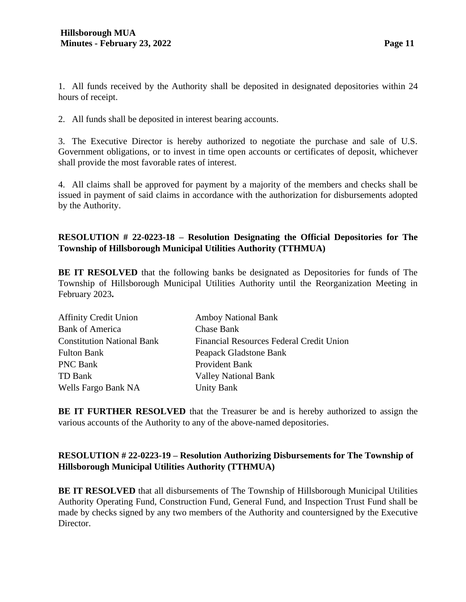1. All funds received by the Authority shall be deposited in designated depositories within 24 hours of receipt.

2. All funds shall be deposited in interest bearing accounts.

3. The Executive Director is hereby authorized to negotiate the purchase and sale of U.S. Government obligations, or to invest in time open accounts or certificates of deposit, whichever shall provide the most favorable rates of interest.

4. All claims shall be approved for payment by a majority of the members and checks shall be issued in payment of said claims in accordance with the authorization for disbursements adopted by the Authority.

# **RESOLUTION # 22-0223-18 – Resolution Designating the Official Depositories for The Township of Hillsborough Municipal Utilities Authority (TTHMUA)**

**BE IT RESOLVED** that the following banks be designated as Depositories for funds of The Township of Hillsborough Municipal Utilities Authority until the Reorganization Meeting in February 2023**.**

| <b>Affinity Credit Union</b>      | <b>Amboy National Bank</b>               |
|-----------------------------------|------------------------------------------|
| <b>Bank of America</b>            | Chase Bank                               |
| <b>Constitution National Bank</b> | Financial Resources Federal Credit Union |
| <b>Fulton Bank</b>                | Peapack Gladstone Bank                   |
| <b>PNC Bank</b>                   | Provident Bank                           |
| TD Bank                           | <b>Valley National Bank</b>              |
| Wells Fargo Bank NA               | <b>Unity Bank</b>                        |
|                                   |                                          |

**BE IT FURTHER RESOLVED** that the Treasurer be and is hereby authorized to assign the various accounts of the Authority to any of the above-named depositories.

# **RESOLUTION # 22-0223-19 – Resolution Authorizing Disbursements for The Township of Hillsborough Municipal Utilities Authority (TTHMUA)**

**BE IT RESOLVED** that all disbursements of The Township of Hillsborough Municipal Utilities Authority Operating Fund, Construction Fund, General Fund, and Inspection Trust Fund shall be made by checks signed by any two members of the Authority and countersigned by the Executive Director.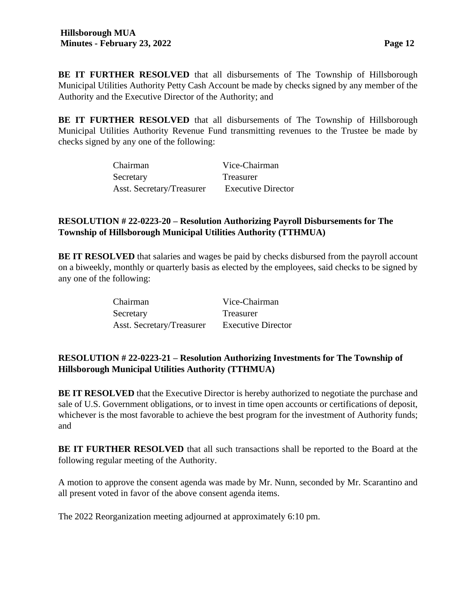**BE IT FURTHER RESOLVED** that all disbursements of The Township of Hillsborough Municipal Utilities Authority Petty Cash Account be made by checks signed by any member of the Authority and the Executive Director of the Authority; and

**BE IT FURTHER RESOLVED** that all disbursements of The Township of Hillsborough Municipal Utilities Authority Revenue Fund transmitting revenues to the Trustee be made by checks signed by any one of the following:

| Chairman                  | Vice-Chairman             |
|---------------------------|---------------------------|
| Secretary                 | Treasurer                 |
| Asst. Secretary/Treasurer | <b>Executive Director</b> |

# **RESOLUTION # 22-0223-20 – Resolution Authorizing Payroll Disbursements for The Township of Hillsborough Municipal Utilities Authority (TTHMUA)**

**BE IT RESOLVED** that salaries and wages be paid by checks disbursed from the payroll account on a biweekly, monthly or quarterly basis as elected by the employees, said checks to be signed by any one of the following:

| Chairman                  | Vice-Chairman             |
|---------------------------|---------------------------|
| Secretary                 | Treasurer                 |
| Asst. Secretary/Treasurer | <b>Executive Director</b> |

# **RESOLUTION # 22-0223-21 – Resolution Authorizing Investments for The Township of Hillsborough Municipal Utilities Authority (TTHMUA)**

**BE IT RESOLVED** that the Executive Director is hereby authorized to negotiate the purchase and sale of U.S. Government obligations, or to invest in time open accounts or certifications of deposit, whichever is the most favorable to achieve the best program for the investment of Authority funds; and

**BE IT FURTHER RESOLVED** that all such transactions shall be reported to the Board at the following regular meeting of the Authority.

A motion to approve the consent agenda was made by Mr. Nunn, seconded by Mr. Scarantino and all present voted in favor of the above consent agenda items.

The 2022 Reorganization meeting adjourned at approximately 6:10 pm.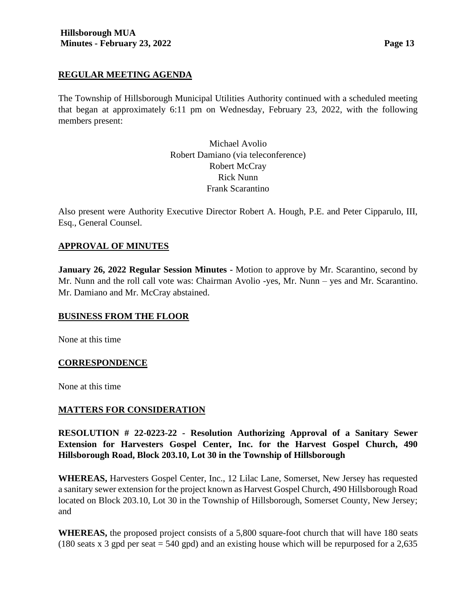#### **REGULAR MEETING AGENDA**

The Township of Hillsborough Municipal Utilities Authority continued with a scheduled meeting that began at approximately 6:11 pm on Wednesday, February 23, 2022, with the following members present:

> Michael Avolio Robert Damiano (via teleconference) Robert McCray Rick Nunn Frank Scarantino

Also present were Authority Executive Director Robert A. Hough, P.E. and Peter Cipparulo, III, Esq., General Counsel.

### **APPROVAL OF MINUTES**

**January 26, 2022 Regular Session Minutes -** Motion to approve by Mr. Scarantino, second by Mr. Nunn and the roll call vote was: Chairman Avolio -yes, Mr. Nunn – yes and Mr. Scarantino. Mr. Damiano and Mr. McCray abstained.

#### **BUSINESS FROM THE FLOOR**

None at this time

#### **CORRESPONDENCE**

None at this time

#### **MATTERS FOR CONSIDERATION**

**RESOLUTION # 22-0223-22 - Resolution Authorizing Approval of a Sanitary Sewer Extension for Harvesters Gospel Center, Inc. for the Harvest Gospel Church, 490 Hillsborough Road, Block 203.10, Lot 30 in the Township of Hillsborough**

**WHEREAS,** Harvesters Gospel Center, Inc., 12 Lilac Lane, Somerset, New Jersey has requested a sanitary sewer extension for the project known as Harvest Gospel Church, 490 Hillsborough Road located on Block 203.10, Lot 30 in the Township of Hillsborough, Somerset County, New Jersey; and

**WHEREAS,** the proposed project consists of a 5,800 square-foot church that will have 180 seats (180 seats x 3 gpd per seat  $= 540$  gpd) and an existing house which will be repurposed for a 2,635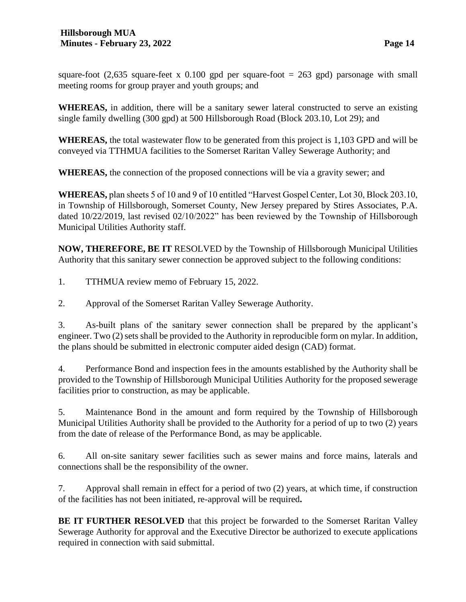square-foot  $(2,635 \text{ square-feet x } 0.100 \text{ gpd per square-foot} = 263 \text{ gpd})$  parsonage with small meeting rooms for group prayer and youth groups; and

**WHEREAS,** in addition, there will be a sanitary sewer lateral constructed to serve an existing single family dwelling (300 gpd) at 500 Hillsborough Road (Block 203.10, Lot 29); and

**WHEREAS,** the total wastewater flow to be generated from this project is 1,103 GPD and will be conveyed via TTHMUA facilities to the Somerset Raritan Valley Sewerage Authority; and

**WHEREAS,** the connection of the proposed connections will be via a gravity sewer; and

**WHEREAS,** plan sheets 5 of 10 and 9 of 10 entitled "Harvest Gospel Center, Lot 30, Block 203.10, in Township of Hillsborough, Somerset County, New Jersey prepared by Stires Associates, P.A. dated 10/22/2019, last revised 02/10/2022" has been reviewed by the Township of Hillsborough Municipal Utilities Authority staff.

**NOW, THEREFORE, BE IT** RESOLVED by the Township of Hillsborough Municipal Utilities Authority that this sanitary sewer connection be approved subject to the following conditions:

1. TTHMUA review memo of February 15, 2022.

2. Approval of the Somerset Raritan Valley Sewerage Authority.

3. As-built plans of the sanitary sewer connection shall be prepared by the applicant's engineer. Two (2) sets shall be provided to the Authority in reproducible form on mylar. In addition, the plans should be submitted in electronic computer aided design (CAD) format.

4. Performance Bond and inspection fees in the amounts established by the Authority shall be provided to the Township of Hillsborough Municipal Utilities Authority for the proposed sewerage facilities prior to construction, as may be applicable.

5. Maintenance Bond in the amount and form required by the Township of Hillsborough Municipal Utilities Authority shall be provided to the Authority for a period of up to two (2) years from the date of release of the Performance Bond, as may be applicable.

6. All on-site sanitary sewer facilities such as sewer mains and force mains, laterals and connections shall be the responsibility of the owner.

7. Approval shall remain in effect for a period of two (2) years, at which time, if construction of the facilities has not been initiated, re-approval will be required**.**

**BE IT FURTHER RESOLVED** that this project be forwarded to the Somerset Raritan Valley Sewerage Authority for approval and the Executive Director be authorized to execute applications required in connection with said submittal.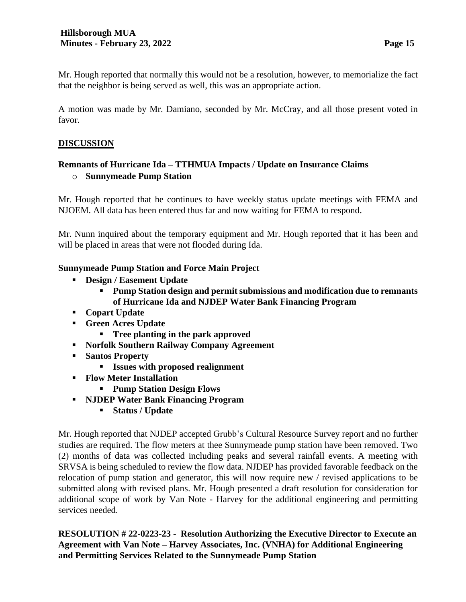Mr. Hough reported that normally this would not be a resolution, however, to memorialize the fact that the neighbor is being served as well, this was an appropriate action.

A motion was made by Mr. Damiano, seconded by Mr. McCray, and all those present voted in favor.

## **DISCUSSION**

# **Remnants of Hurricane Ida – TTHMUA Impacts / Update on Insurance Claims** o **Sunnymeade Pump Station**

Mr. Hough reported that he continues to have weekly status update meetings with FEMA and NJOEM. All data has been entered thus far and now waiting for FEMA to respond.

Mr. Nunn inquired about the temporary equipment and Mr. Hough reported that it has been and will be placed in areas that were not flooded during Ida.

### **Sunnymeade Pump Station and Force Main Project**

- **Design / Easement Update** 
	- **Pump Station design and permit submissions and modification due to remnants of Hurricane Ida and NJDEP Water Bank Financing Program**
- **Copart Update**
- **Green Acres Update**
	- **Tree planting in the park approved**
- **Norfolk Southern Railway Company Agreement**
- **Santos Property** 
	- **Issues with proposed realignment**
- **Flow Meter Installation**
	- **Pump Station Design Flows**
- **NJDEP Water Bank Financing Program**
	- **Status / Update**

Mr. Hough reported that NJDEP accepted Grubb's Cultural Resource Survey report and no further studies are required. The flow meters at thee Sunnymeade pump station have been removed. Two (2) months of data was collected including peaks and several rainfall events. A meeting with SRVSA is being scheduled to review the flow data. NJDEP has provided favorable feedback on the relocation of pump station and generator, this will now require new / revised applications to be submitted along with revised plans. Mr. Hough presented a draft resolution for consideration for additional scope of work by Van Note - Harvey for the additional engineering and permitting services needed.

**RESOLUTION # 22-0223-23 - Resolution Authorizing the Executive Director to Execute an Agreement with Van Note – Harvey Associates, Inc. (VNHA) for Additional Engineering and Permitting Services Related to the Sunnymeade Pump Station**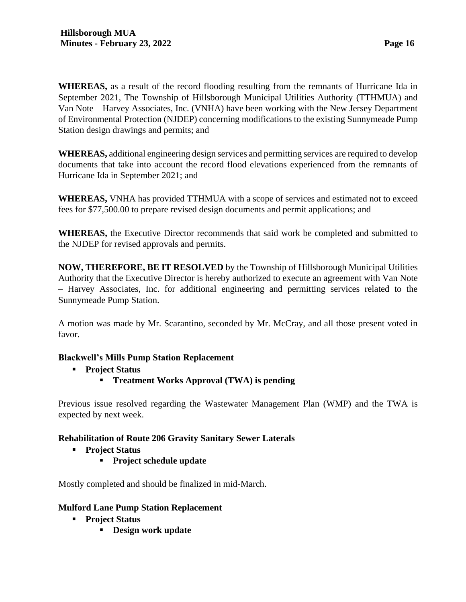**WHEREAS,** as a result of the record flooding resulting from the remnants of Hurricane Ida in September 2021, The Township of Hillsborough Municipal Utilities Authority (TTHMUA) and Van Note – Harvey Associates, Inc. (VNHA) have been working with the New Jersey Department of Environmental Protection (NJDEP) concerning modifications to the existing Sunnymeade Pump Station design drawings and permits; and

**WHEREAS,** additional engineering design services and permitting services are required to develop documents that take into account the record flood elevations experienced from the remnants of Hurricane Ida in September 2021; and

**WHEREAS,** VNHA has provided TTHMUA with a scope of services and estimated not to exceed fees for \$77,500.00 to prepare revised design documents and permit applications; and

**WHEREAS,** the Executive Director recommends that said work be completed and submitted to the NJDEP for revised approvals and permits.

**NOW, THEREFORE, BE IT RESOLVED** by the Township of Hillsborough Municipal Utilities Authority that the Executive Director is hereby authorized to execute an agreement with Van Note – Harvey Associates, Inc. for additional engineering and permitting services related to the Sunnymeade Pump Station.

A motion was made by Mr. Scarantino, seconded by Mr. McCray, and all those present voted in favor.

### **Blackwell's Mills Pump Station Replacement**

- **Project Status**
	- **Treatment Works Approval (TWA) is pending**

Previous issue resolved regarding the Wastewater Management Plan (WMP) and the TWA is expected by next week.

### **Rehabilitation of Route 206 Gravity Sanitary Sewer Laterals**

- **Project Status**
	- **Project schedule update**

Mostly completed and should be finalized in mid-March.

### **Mulford Lane Pump Station Replacement**

- **Project Status**
	- **Design work update**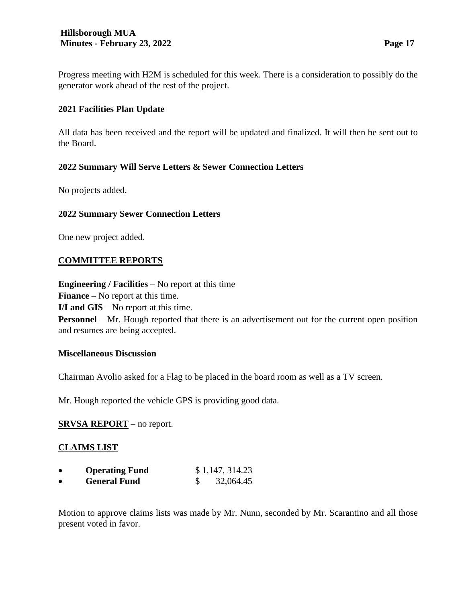Progress meeting with H2M is scheduled for this week. There is a consideration to possibly do the generator work ahead of the rest of the project.

## **2021 Facilities Plan Update**

All data has been received and the report will be updated and finalized. It will then be sent out to the Board.

# **2022 Summary Will Serve Letters & Sewer Connection Letters**

No projects added.

### **2022 Summary Sewer Connection Letters**

One new project added.

#### **COMMITTEE REPORTS**

**Engineering / Facilities** – No report at this time

**Finance** – No report at this time.

**I/I and GIS** – No report at this time.

**Personnel** – Mr. Hough reported that there is an advertisement out for the current open position and resumes are being accepted.

#### **Miscellaneous Discussion**

Chairman Avolio asked for a Flag to be placed in the board room as well as a TV screen.

Mr. Hough reported the vehicle GPS is providing good data.

### **SRVSA REPORT** – no report.

### **CLAIMS LIST**

| <b>Operating Fund</b> | \$1,147,314.23 |
|-----------------------|----------------|
| <b>General Fund</b>   | 32,064.45      |

Motion to approve claims lists was made by Mr. Nunn, seconded by Mr. Scarantino and all those present voted in favor.